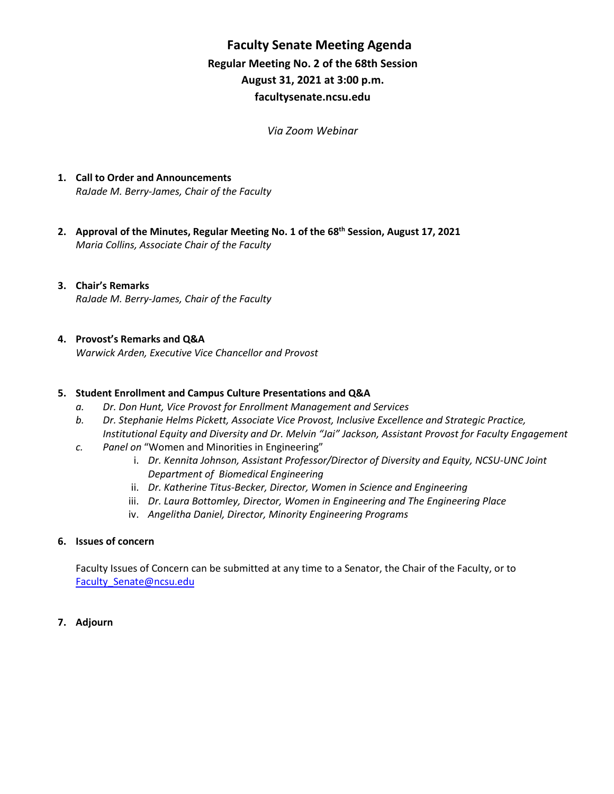**Faculty Senate Meeting Agenda Regular Meeting No. 2 of the 68th Session August 31, 2021 at 3:00 p.m. [facultysenate.ncsu.edu](https://facultysenate.ncsu.edu/)**

*Via Zoom Webinar*

- **1. Call to Order and Announcements** *RaJade M. Berry-James, Chair of the Faculty*
- **2. Approval of the Minutes, Regular Meeting No. 1 of the 68th Session, August 17, 2021** *Maria Collins, Associate Chair of the Faculty*

#### **3. Chair's Remarks**

*RaJade M. Berry-James, Chair of the Faculty*

# **4. Provost's Remarks and Q&A**

*Warwick Arden, Executive Vice Chancellor and Provost* 

#### **5. Student Enrollment and Campus Culture Presentations and Q&A**

- *a. Dr. Don Hunt, Vice Provost for Enrollment Management and Services*
- *b. Dr. Stephanie Helms Pickett, Associate Vice Provost, Inclusive Excellence and Strategic Practice, Institutional Equity and Diversity and Dr. Melvin "Jai" Jackson, Assistant Provost for Faculty Engagement*
- *c. Panel on* "Women and Minorities in Engineering"
	- i. *Dr. Kennita Johnson, Assistant Professor/Director of Diversity and Equity, NCSU-UNC Joint Department of Biomedical Engineering*
	- ii. *Dr. Katherine Titus-Becker, Director, Women in Science and Engineering*
	- iii. *Dr. Laura Bottomley, Director, Women in Engineering and The Engineering Place*
	- iv. *Angelitha Daniel, Director, Minority Engineering Programs*

#### **6. Issues of concern**

Faculty Issues of Concern can be submitted at any time to a Senator, the Chair of the Faculty, or to Faculty Senate@ncsu.edu

# **7. Adjourn**